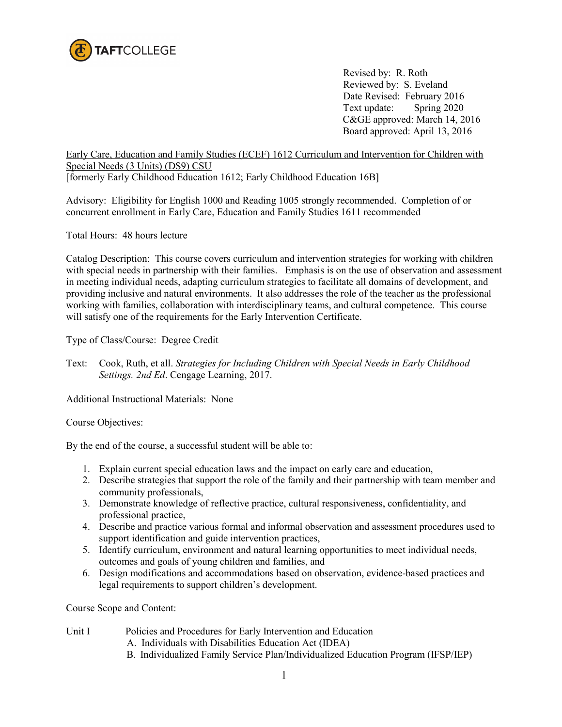

 Revised by: R. Roth Reviewed by: S. Eveland Date Revised: February 2016 Text update: Spring 2020 C&GE approved: March 14, 2016 Board approved: April 13, 2016

Early Care, Education and Family Studies (ECEF) 1612 Curriculum and Intervention for Children with Special Needs (3 Units) (DS9) CSU

[formerly Early Childhood Education 1612; Early Childhood Education 16B]

Advisory: Eligibility for English 1000 and Reading 1005 strongly recommended. Completion of or concurrent enrollment in Early Care, Education and Family Studies 1611 recommended

Total Hours: 48 hours lecture

Catalog Description: This course covers curriculum and intervention strategies for working with children with special needs in partnership with their families. Emphasis is on the use of observation and assessment in meeting individual needs, adapting curriculum strategies to facilitate all domains of development, and providing inclusive and natural environments. It also addresses the role of the teacher as the professional working with families, collaboration with interdisciplinary teams, and cultural competence. This course will satisfy one of the requirements for the Early Intervention Certificate.

Type of Class/Course: Degree Credit

Text: Cook, Ruth, et all. *Strategies for Including Children with Special Needs in Early Childhood Settings. 2nd Ed*. Cengage Learning, 2017.

Additional Instructional Materials: None

## Course Objectives:

By the end of the course, a successful student will be able to:

- 1. Explain current special education laws and the impact on early care and education,
- 2. Describe strategies that support the role of the family and their partnership with team member and community professionals,
- 3. Demonstrate knowledge of reflective practice, cultural responsiveness, confidentiality, and professional practice,
- 4. Describe and practice various formal and informal observation and assessment procedures used to support identification and guide intervention practices,
- 5. Identify curriculum, environment and natural learning opportunities to meet individual needs, outcomes and goals of young children and families, and
- 6. Design modifications and accommodations based on observation, evidence-based practices and legal requirements to support children's development.

Course Scope and Content:

- Unit I Policies and Procedures for Early Intervention and Education
	- A. Individuals with Disabilities Education Act (IDEA)
	- B. Individualized Family Service Plan/Individualized Education Program (IFSP/IEP)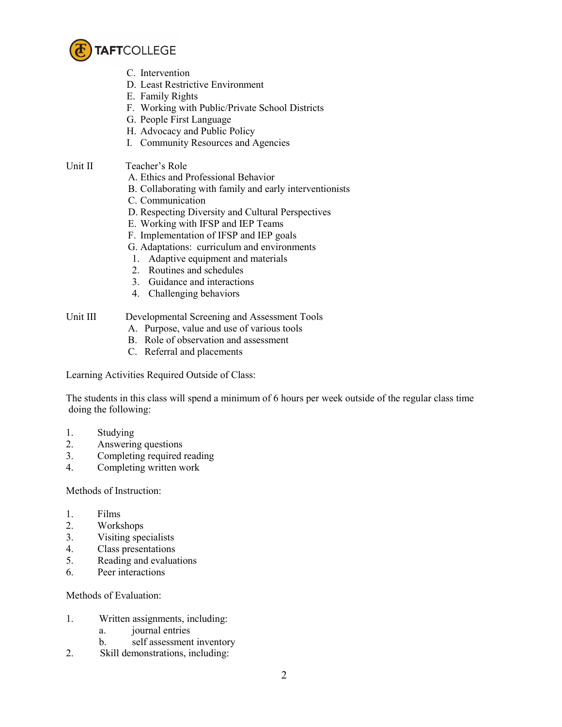

- C. Intervention
- D. Least Restrictive Environment
- E. Family Rights
- F. Working with Public/Private School Districts
- G. People First Language
- H. Advocacy and Public Policy
- I. Community Resources and Agencies
- Unit II Teacher's Role
	- A. Ethics and Professional Behavior
	- B. Collaborating with family and early interventionists
	- C. Communication
	- D. Respecting Diversity and Cultural Perspectives
	- E. Working with IFSP and IEP Teams
	- F. Implementation of IFSP and IEP goals
	- G. Adaptations: curriculum and environments
	- 1. Adaptive equipment and materials
	- 2. Routines and schedules
	- 3. Guidance and interactions
	- 4. Challenging behaviors

## Unit III Developmental Screening and Assessment Tools

- A. Purpose, value and use of various tools
- B. Role of observation and assessment
- C. Referral and placements

Learning Activities Required Outside of Class:

The students in this class will spend a minimum of 6 hours per week outside of the regular class time doing the following:

- 1. Studying
- 2. Answering questions
- 3. Completing required reading
- 4. Completing written work

## Methods of Instruction:

- 1. Films
- 2. Workshops
- 3. Visiting specialists
- 4. Class presentations
- 5. Reading and evaluations
- 6. Peer interactions

Methods of Evaluation:

- 1. Written assignments, including:
	- a. journal entries
	- b. self assessment inventory
- 2. Skill demonstrations, including: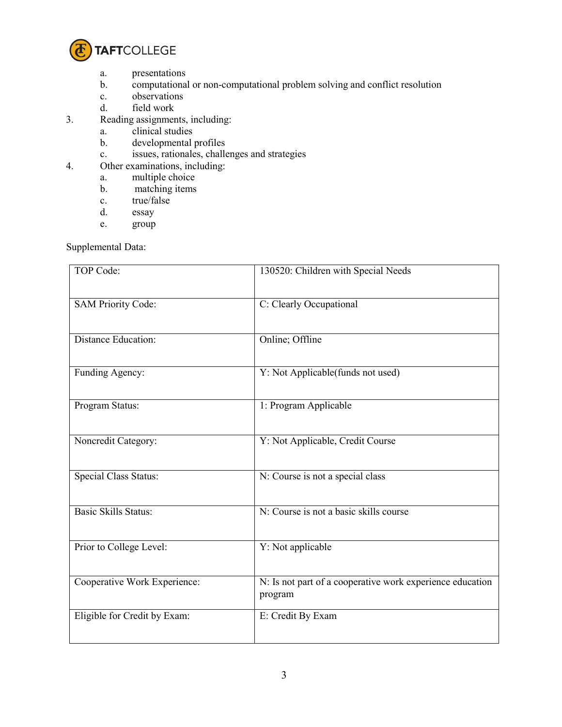

- a. presentations
- b. computational or non-computational problem solving and conflict resolution c.
- observations
- d. field work
- 3. Reading assignments, including:
	- a. clinical studies
	- b. developmental profiles
	- c. issues, rationales, challenges and strategies
- 4. Other examinations, including:
	- a. multiple choice
		- b. matching items
		- c. true/false<br>d. essay
		- essay
		- e. group

Supplemental Data:

| TOP Code:                    | 130520: Children with Special Needs                                  |
|------------------------------|----------------------------------------------------------------------|
| <b>SAM Priority Code:</b>    | C: Clearly Occupational                                              |
| Distance Education:          | Online; Offline                                                      |
| Funding Agency:              | Y: Not Applicable(funds not used)                                    |
| Program Status:              | 1: Program Applicable                                                |
| Noncredit Category:          | Y: Not Applicable, Credit Course                                     |
| <b>Special Class Status:</b> | N: Course is not a special class                                     |
| <b>Basic Skills Status:</b>  | N: Course is not a basic skills course                               |
| Prior to College Level:      | Y: Not applicable                                                    |
| Cooperative Work Experience: | N: Is not part of a cooperative work experience education<br>program |
| Eligible for Credit by Exam: | E: Credit By Exam                                                    |